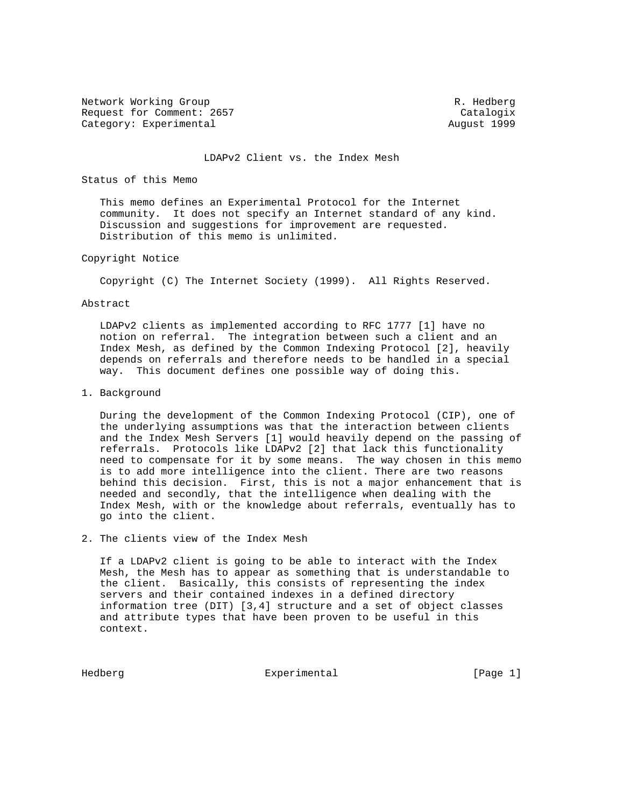Network Working Group and the set of the set of the set of the set of the set of the set of the set of the set o Request for Comment: 2657 Catalogix Category: Experimental and August 1999

#### LDAPv2 Client vs. the Index Mesh

## Status of this Memo

 This memo defines an Experimental Protocol for the Internet community. It does not specify an Internet standard of any kind. Discussion and suggestions for improvement are requested. Distribution of this memo is unlimited.

## Copyright Notice

Copyright (C) The Internet Society (1999). All Rights Reserved.

#### Abstract

 LDAPv2 clients as implemented according to RFC 1777 [1] have no notion on referral. The integration between such a client and an Index Mesh, as defined by the Common Indexing Protocol [2], heavily depends on referrals and therefore needs to be handled in a special way. This document defines one possible way of doing this.

### 1. Background

 During the development of the Common Indexing Protocol (CIP), one of the underlying assumptions was that the interaction between clients and the Index Mesh Servers [1] would heavily depend on the passing of referrals. Protocols like LDAPv2 [2] that lack this functionality need to compensate for it by some means. The way chosen in this memo is to add more intelligence into the client. There are two reasons behind this decision. First, this is not a major enhancement that is needed and secondly, that the intelligence when dealing with the Index Mesh, with or the knowledge about referrals, eventually has to go into the client.

2. The clients view of the Index Mesh

 If a LDAPv2 client is going to be able to interact with the Index Mesh, the Mesh has to appear as something that is understandable to the client. Basically, this consists of representing the index servers and their contained indexes in a defined directory information tree (DIT) [3,4] structure and a set of object classes and attribute types that have been proven to be useful in this context.

Hedberg Experimental [Page 1]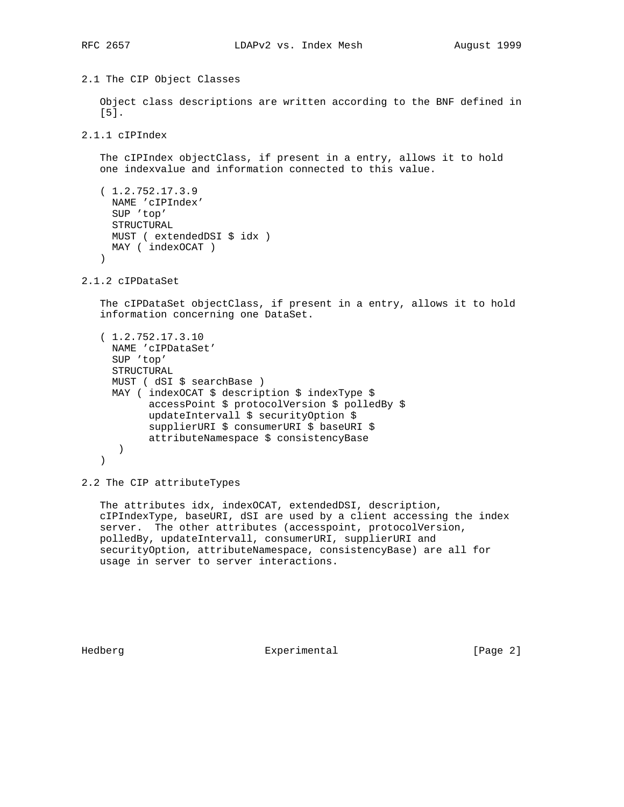```
2.1 The CIP Object Classes
    Object class descriptions are written according to the BNF defined in
    [5].
2.1.1 cIPIndex
    The cIPIndex objectClass, if present in a entry, allows it to hold
    one indexvalue and information connected to this value.
    ( 1.2.752.17.3.9
     NAME 'cIPIndex'
     SUP 'top'
     STRUCTURAL
     MUST ( extendedDSI $ idx )
     MAY ( indexOCAT )
    )
2.1.2 cIPDataSet
    The cIPDataSet objectClass, if present in a entry, allows it to hold
    information concerning one DataSet.
    ( 1.2.752.17.3.10
     NAME 'cIPDataSet'
     SUP 'top'
     STRUCTURAL
     MUST ( dSI $ searchBase )
     MAY ( indexOCAT $ description $ indexType $
            accessPoint $ protocolVersion $ polledBy $
            updateIntervall $ securityOption $
            supplierURI $ consumerURI $ baseURI $
            attributeNamespace $ consistencyBase
       )
```

```
 )
```
2.2 The CIP attributeTypes

 The attributes idx, indexOCAT, extendedDSI, description, cIPIndexType, baseURI, dSI are used by a client accessing the index server. The other attributes (accesspoint, protocolVersion, polledBy, updateIntervall, consumerURI, supplierURI and securityOption, attributeNamespace, consistencyBase) are all for usage in server to server interactions.

Hedberg **Experimental** Experimental [Page 2]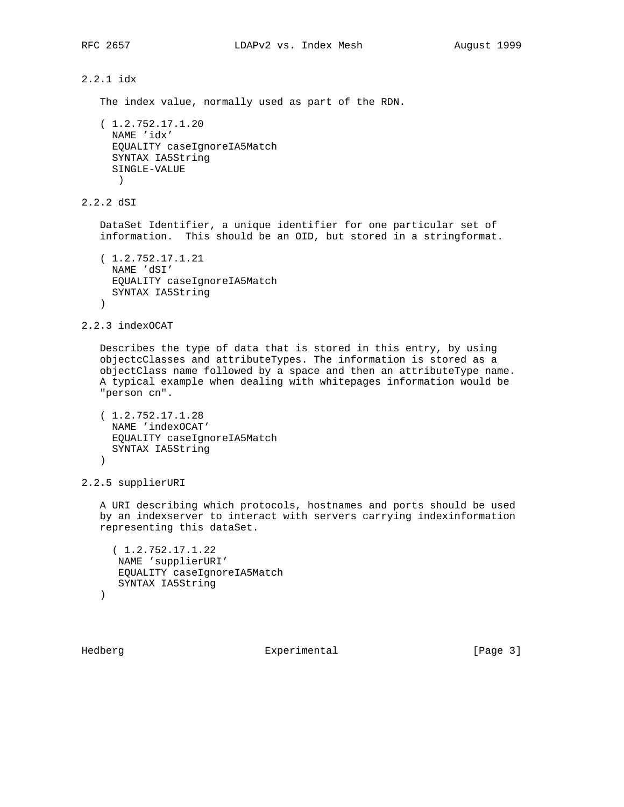# 2.2.1 idx

The index value, normally used as part of the RDN.

```
 ( 1.2.752.17.1.20
  NAME 'idx'
  EQUALITY caseIgnoreIA5Match
   SYNTAX IA5String
   SINGLE-VALUE
   )
```
2.2.2 dSI

 DataSet Identifier, a unique identifier for one particular set of information. This should be an OID, but stored in a stringformat.

```
 ( 1.2.752.17.1.21
  NAME 'dSI'
  EQUALITY caseIgnoreIA5Match
  SYNTAX IA5String
 )
```
2.2.3 indexOCAT

 Describes the type of data that is stored in this entry, by using objectcClasses and attributeTypes. The information is stored as a objectClass name followed by a space and then an attributeType name. A typical example when dealing with whitepages information would be "person cn".

```
 ( 1.2.752.17.1.28
  NAME 'indexOCAT'
  EQUALITY caseIgnoreIA5Match
  SYNTAX IA5String
 )
```
2.2.5 supplierURI

 A URI describing which protocols, hostnames and ports should be used by an indexserver to interact with servers carrying indexinformation representing this dataSet.

```
 ( 1.2.752.17.1.22
 NAME 'supplierURI'
 EQUALITY caseIgnoreIA5Match
 SYNTAX IA5String
```
)

Hedberg Experimental [Page 3]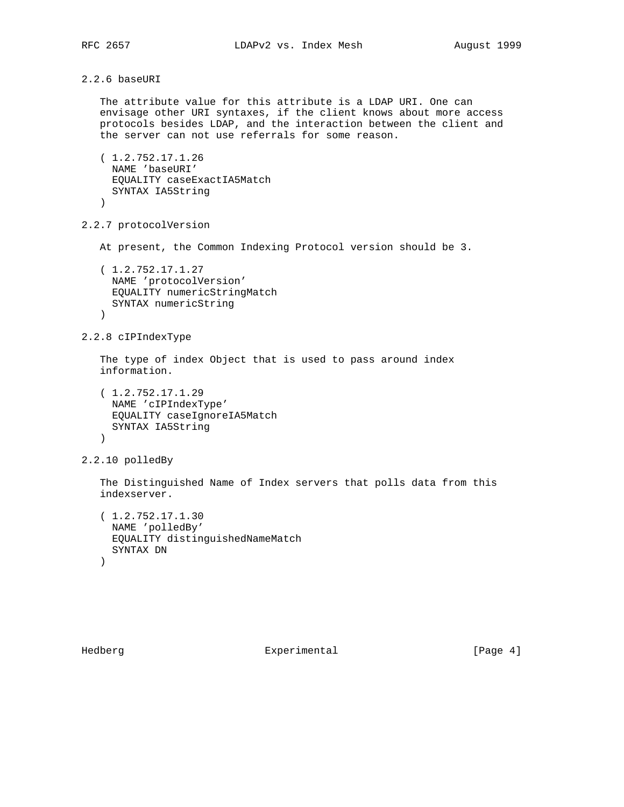```
2.2.6 baseURI
```
 The attribute value for this attribute is a LDAP URI. One can envisage other URI syntaxes, if the client knows about more access protocols besides LDAP, and the interaction between the client and the server can not use referrals for some reason.

```
 ( 1.2.752.17.1.26
  NAME 'baseURI'
  EQUALITY caseExactIA5Match
  SYNTAX IA5String
\lambda
```
2.2.7 protocolVersion

At present, the Common Indexing Protocol version should be 3.

```
 ( 1.2.752.17.1.27
  NAME 'protocolVersion'
  EQUALITY numericStringMatch
   SYNTAX numericString
\left( \right)
```
2.2.8 cIPIndexType

 The type of index Object that is used to pass around index information.

 ( 1.2.752.17.1.29 NAME 'cIPIndexType' EQUALITY caseIgnoreIA5Match SYNTAX IA5String )

```
2.2.10 polledBy
```
 The Distinguished Name of Index servers that polls data from this indexserver.

```
 ( 1.2.752.17.1.30
  NAME 'polledBy'
  EQUALITY distinguishedNameMatch
  SYNTAX DN
 )
```
Hedberg Experimental [Page 4]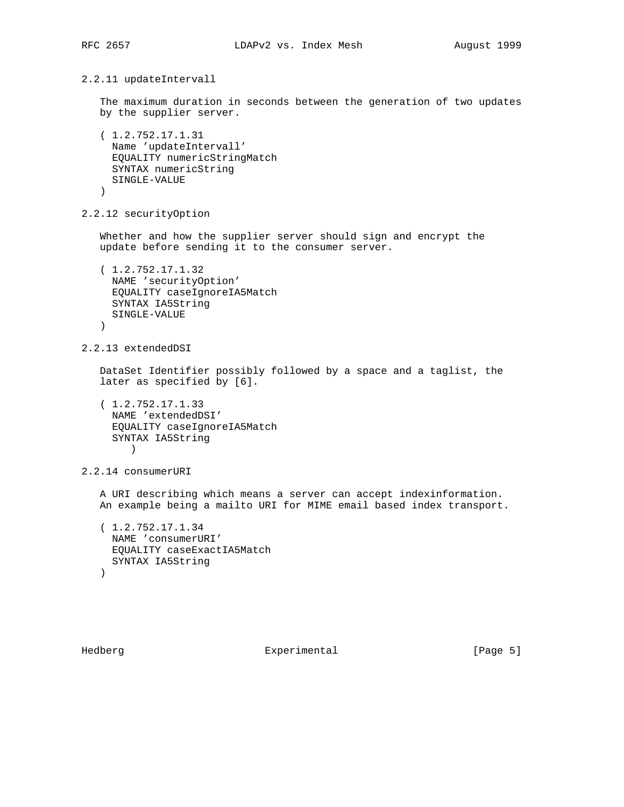2.2.11 updateIntervall

 The maximum duration in seconds between the generation of two updates by the supplier server.

```
 ( 1.2.752.17.1.31
  Name 'updateIntervall'
   EQUALITY numericStringMatch
   SYNTAX numericString
  SINGLE-VALUE
\left( \right)
```
2.2.12 securityOption

 Whether and how the supplier server should sign and encrypt the update before sending it to the consumer server.

```
 ( 1.2.752.17.1.32
  NAME 'securityOption'
  EQUALITY caseIgnoreIA5Match
  SYNTAX IA5String
  SINGLE-VALUE
\left( \right)
```
2.2.13 extendedDSI

 DataSet Identifier possibly followed by a space and a taglist, the later as specified by [6].

 ( 1.2.752.17.1.33 NAME 'extendedDSI' EQUALITY caseIgnoreIA5Match SYNTAX IA5String )

2.2.14 consumerURI

 A URI describing which means a server can accept indexinformation. An example being a mailto URI for MIME email based index transport.

```
 ( 1.2.752.17.1.34
  NAME 'consumerURI'
  EQUALITY caseExactIA5Match
  SYNTAX IA5String
 )
```
Hedberg Experimental [Page 5]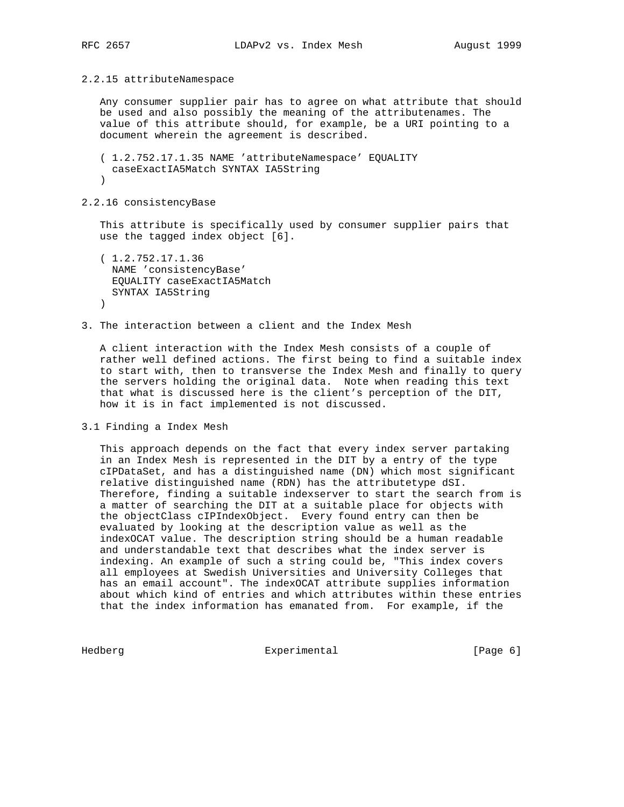### 2.2.15 attributeNamespace

 Any consumer supplier pair has to agree on what attribute that should be used and also possibly the meaning of the attributenames. The value of this attribute should, for example, be a URI pointing to a document wherein the agreement is described.

 ( 1.2.752.17.1.35 NAME 'attributeNamespace' EQUALITY caseExactIA5Match SYNTAX IA5String )

2.2.16 consistencyBase

 This attribute is specifically used by consumer supplier pairs that use the tagged index object [6].

 ( 1.2.752.17.1.36 NAME 'consistencyBase' EQUALITY caseExactIA5Match SYNTAX IA5String )

3. The interaction between a client and the Index Mesh

 A client interaction with the Index Mesh consists of a couple of rather well defined actions. The first being to find a suitable index to start with, then to transverse the Index Mesh and finally to query the servers holding the original data. Note when reading this text that what is discussed here is the client's perception of the DIT, how it is in fact implemented is not discussed.

3.1 Finding a Index Mesh

 This approach depends on the fact that every index server partaking in an Index Mesh is represented in the DIT by a entry of the type cIPDataSet, and has a distinguished name (DN) which most significant relative distinguished name (RDN) has the attributetype dSI. Therefore, finding a suitable indexserver to start the search from is a matter of searching the DIT at a suitable place for objects with the objectClass cIPIndexObject. Every found entry can then be evaluated by looking at the description value as well as the indexOCAT value. The description string should be a human readable and understandable text that describes what the index server is indexing. An example of such a string could be, "This index covers all employees at Swedish Universities and University Colleges that has an email account". The indexOCAT attribute supplies information about which kind of entries and which attributes within these entries that the index information has emanated from. For example, if the

Hedberg Experimental Experimental [Page 6]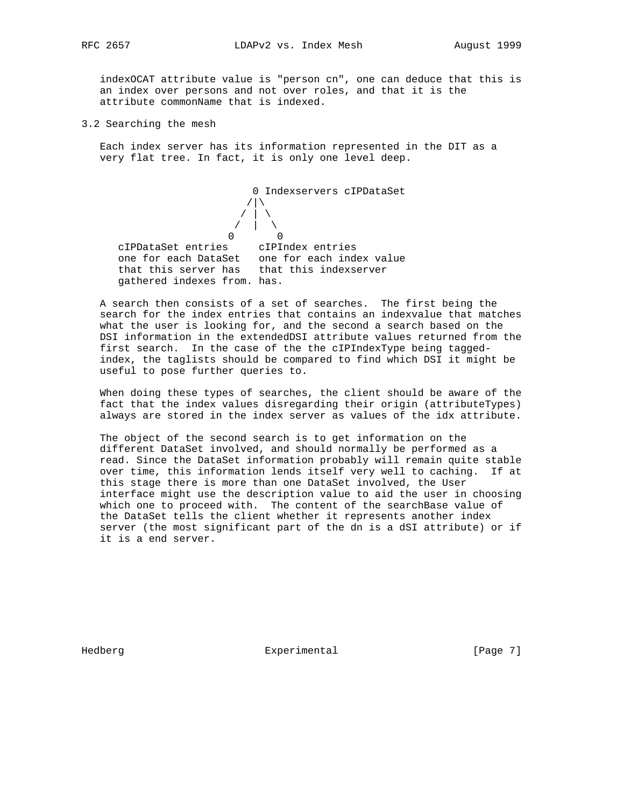indexOCAT attribute value is "person cn", one can deduce that this is an index over persons and not over roles, and that it is the attribute commonName that is indexed.

3.2 Searching the mesh

 Each index server has its information represented in the DIT as a very flat tree. In fact, it is only one level deep.

 0 Indexservers cIPDataSet  $/|\n\sqrt{2}$  $\sqrt{2}$   $\sqrt{2}$  $\sqrt{2}$   $\sqrt{2}$  0 0 cIPDataSet entries cIPIndex entries one for each DataSet one for each index value that this server has that this indexserver gathered indexes from. has.

 A search then consists of a set of searches. The first being the search for the index entries that contains an indexvalue that matches what the user is looking for, and the second a search based on the DSI information in the extendedDSI attribute values returned from the first search. In the case of the the cIPIndexType being tagged index, the taglists should be compared to find which DSI it might be useful to pose further queries to.

 When doing these types of searches, the client should be aware of the fact that the index values disregarding their origin (attributeTypes) always are stored in the index server as values of the idx attribute.

 The object of the second search is to get information on the different DataSet involved, and should normally be performed as a read. Since the DataSet information probably will remain quite stable over time, this information lends itself very well to caching. If at this stage there is more than one DataSet involved, the User interface might use the description value to aid the user in choosing which one to proceed with. The content of the searchBase value of the DataSet tells the client whether it represents another index server (the most significant part of the dn is a dSI attribute) or if it is a end server.

Hedberg **Experimental** Experimental [Page 7]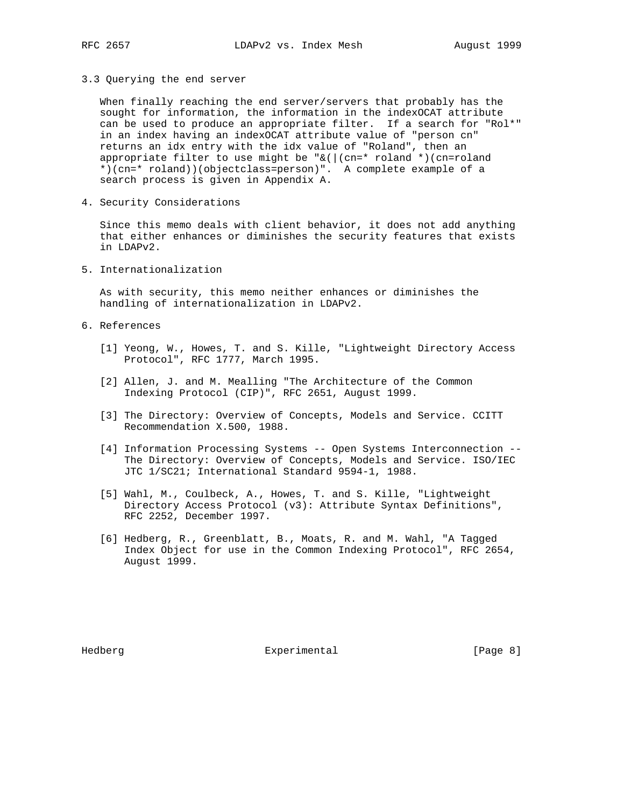- 
- 3.3 Querying the end server

 When finally reaching the end server/servers that probably has the sought for information, the information in the indexOCAT attribute can be used to produce an appropriate filter. If a search for "Rol\*" in an index having an indexOCAT attribute value of "person cn" returns an idx entry with the idx value of "Roland", then an appropriate filter to use might be " $\&$  ( $|$  (cn=\* roland \*)(cn=roland \*)(cn=\* roland))(objectclass=person)". A complete example of a search process is given in Appendix A.

4. Security Considerations

 Since this memo deals with client behavior, it does not add anything that either enhances or diminishes the security features that exists in LDAPv2.

5. Internationalization

 As with security, this memo neither enhances or diminishes the handling of internationalization in LDAPv2.

- 6. References
	- [1] Yeong, W., Howes, T. and S. Kille, "Lightweight Directory Access Protocol", RFC 1777, March 1995.
	- [2] Allen, J. and M. Mealling "The Architecture of the Common Indexing Protocol (CIP)", RFC 2651, August 1999.
	- [3] The Directory: Overview of Concepts, Models and Service. CCITT Recommendation X.500, 1988.
	- [4] Information Processing Systems -- Open Systems Interconnection -- The Directory: Overview of Concepts, Models and Service. ISO/IEC JTC 1/SC21; International Standard 9594-1, 1988.
	- [5] Wahl, M., Coulbeck, A., Howes, T. and S. Kille, "Lightweight Directory Access Protocol (v3): Attribute Syntax Definitions", RFC 2252, December 1997.
	- [6] Hedberg, R., Greenblatt, B., Moats, R. and M. Wahl, "A Tagged Index Object for use in the Common Indexing Protocol", RFC 2654, August 1999.

Hedberg **Experimental** Experimental [Page 8]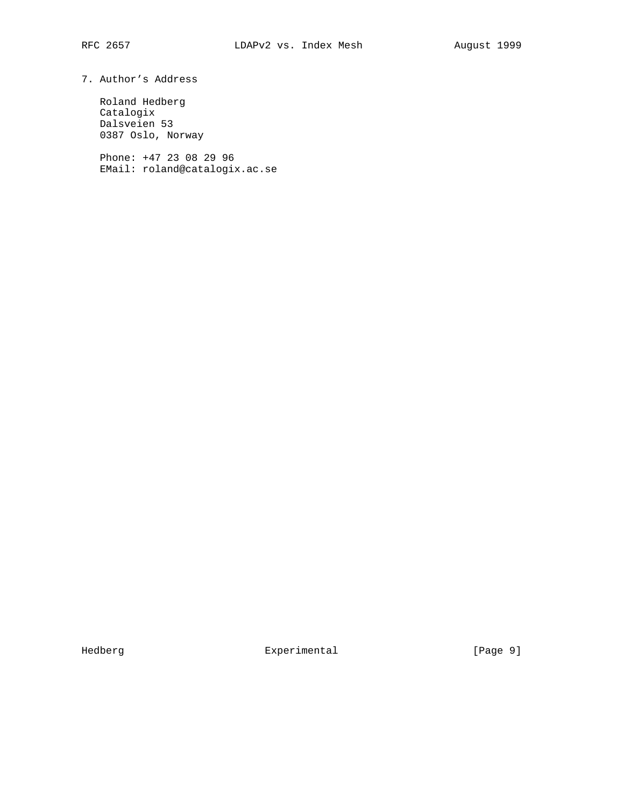# 7. Author's Address

 Roland Hedberg Catalogix Dalsveien 53 0387 Oslo, Norway

 Phone: +47 23 08 29 96 EMail: roland@catalogix.ac.se

Hedberg Experimental Experimental [Page 9]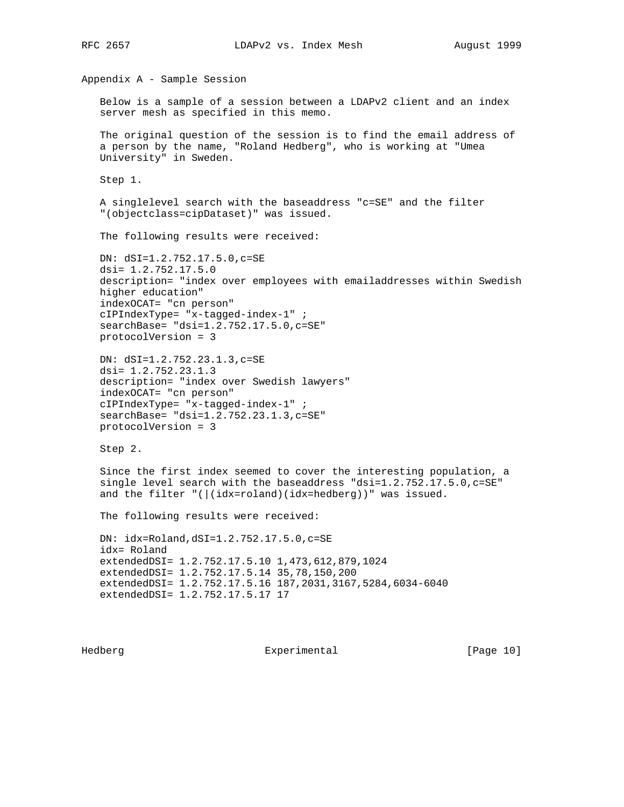Appendix A - Sample Session Below is a sample of a session between a LDAPv2 client and an index server mesh as specified in this memo. The original question of the session is to find the email address of a person by the name, "Roland Hedberg", who is working at "Umea University" in Sweden. Step 1. A singlelevel search with the baseaddress "c=SE" and the filter "(objectclass=cipDataset)" was issued. The following results were received: DN: dSI=1.2.752.17.5.0,c=SE dsi= 1.2.752.17.5.0 description= "index over employees with emailaddresses within Swedish higher education" indexOCAT= "cn person" cIPIndexType= "x-tagged-index-1" ; searchBase= "dsi=1.2.752.17.5.0,c=SE" protocolVersion = 3 DN: dSI=1.2.752.23.1.3,c=SE dsi= 1.2.752.23.1.3 description= "index over Swedish lawyers" indexOCAT= "cn person" cIPIndexType= "x-tagged-index-1" ; searchBase= "dsi=1.2.752.23.1.3,c=SE" protocolVersion = 3 Step 2. Since the first index seemed to cover the interesting population, a single level search with the baseaddress "dsi=1.2.752.17.5.0,c=SE" and the filter "(|(idx=roland)(idx=hedberg))" was issued. The following results were received: DN: idx=Roland,dSI=1.2.752.17.5.0,c=SE idx= Roland extendedDSI= 1.2.752.17.5.10 1,473,612,879,1024 extendedDSI= 1.2.752.17.5.14 35,78,150,200 extendedDSI= 1.2.752.17.5.16 187,2031,3167,5284,6034-6040 extendedDSI= 1.2.752.17.5.17 17

Hedberg **Experimental** Experimental [Page 10]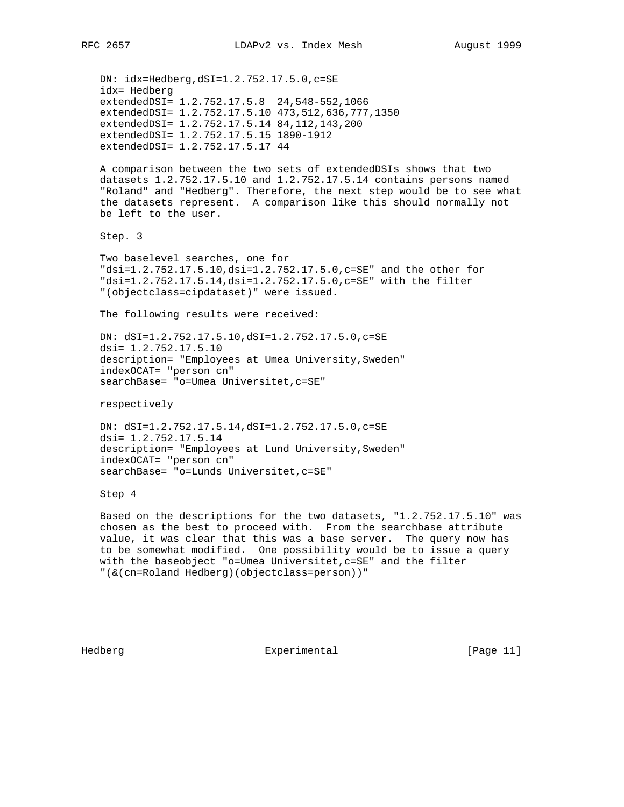DN: idx=Hedberg,dSI=1.2.752.17.5.0,c=SE idx= Hedberg extendedDSI= 1.2.752.17.5.8 24,548-552,1066 extendedDSI= 1.2.752.17.5.10 473,512,636,777,1350 extendedDSI= 1.2.752.17.5.14 84,112,143,200 extendedDSI= 1.2.752.17.5.15 1890-1912 extendedDSI= 1.2.752.17.5.17 44 A comparison between the two sets of extendedDSIs shows that two datasets 1.2.752.17.5.10 and 1.2.752.17.5.14 contains persons named "Roland" and "Hedberg". Therefore, the next step would be to see what the datasets represent. A comparison like this should normally not be left to the user. Step. 3 Two baselevel searches, one for "dsi=1.2.752.17.5.10,dsi=1.2.752.17.5.0,c=SE" and the other for "dsi=1.2.752.17.5.14,dsi=1.2.752.17.5.0,c=SE" with the filter "(objectclass=cipdataset)" were issued. The following results were received: DN: dSI=1.2.752.17.5.10,dSI=1.2.752.17.5.0,c=SE dsi= 1.2.752.17.5.10 description= "Employees at Umea University,Sweden" indexOCAT= "person cn" searchBase= "o=Umea Universitet, c=SE" respectively DN: dSI=1.2.752.17.5.14,dSI=1.2.752.17.5.0,c=SE dsi= 1.2.752.17.5.14 description= "Employees at Lund University,Sweden" indexOCAT= "person cn" searchBase= "o=Lunds Universitet, c=SE" Step 4 Based on the descriptions for the two datasets, "1.2.752.17.5.10" was chosen as the best to proceed with. From the searchbase attribute value, it was clear that this was a base server. The query now has to be somewhat modified. One possibility would be to issue a query with the baseobject "o=Umea Universitet, c=SE" and the filter "(&(cn=Roland Hedberg)(objectclass=person))"

Hedberg **Experimental** Experimental [Page 11]